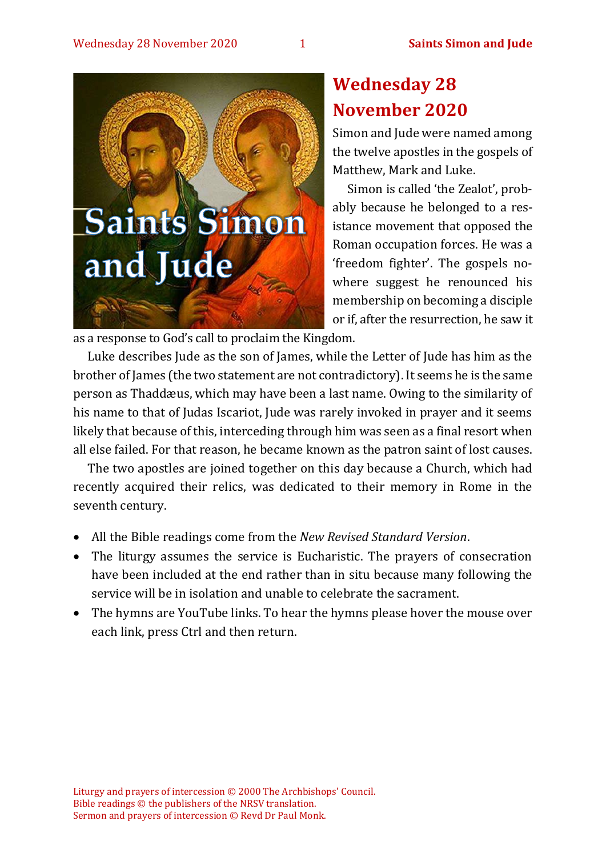

# **Wednesday 28 November 2020**

Simon and Jude were named among the twelve apostles in the gospels of Matthew, Mark and Luke.

Simon is called 'the Zealot', probably because he belonged to a resistance movement that opposed the Roman occupation forces. He was a 'freedom fighter'. The gospels nowhere suggest he renounced his membership on becoming a disciple or if, after the resurrection, he saw it

as a response to God's call to proclaim the Kingdom.

Luke describes Jude as the son of James, while the Letter of Jude has him as the brother of James (the two statement are not contradictory). It seems he is the same person as Thaddæus, which may have been a last name. Owing to the similarity of his name to that of Judas Iscariot, Jude was rarely invoked in prayer and it seems likely that because of this, interceding through him was seen as a final resort when all else failed. For that reason, he became known as the patron saint of lost causes.

The two apostles are joined together on this day because a Church, which had recently acquired their relics, was dedicated to their memory in Rome in the seventh century.

- All the Bible readings come from the *New Revised Standard Version*.
- The liturgy assumes the service is Eucharistic. The prayers of consecration have been included at the end rather than in situ because many following the service will be in isolation and unable to celebrate the sacrament.
- The hymns are YouTube links. To hear the hymns please hover the mouse over each link, press Ctrl and then return.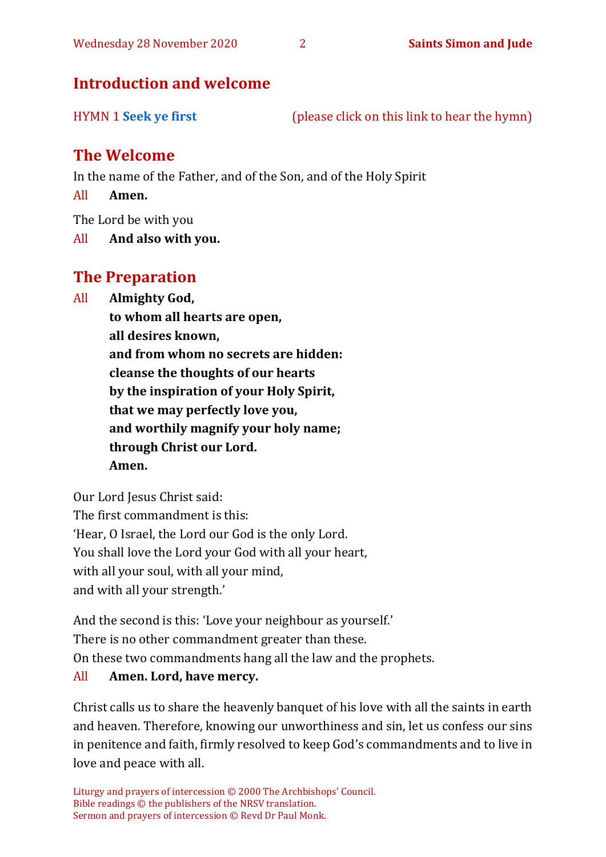# **Introduction and welcome**

HYMN 1 **[Seek ye first](https://www.youtube.com/watch?v=94I07YCeqBs)** (please click on this link to hear the hymn)

# **The Welcome**

In the name of the Father, and of the Son, and of the Holy Spirit

All **Amen.**

The Lord be with you

All **And also with you.**

# **The Preparation**

All **Almighty God,**

**to whom all hearts are open, all desires known, and from whom no secrets are hidden: cleanse the thoughts of our hearts by the inspiration of your Holy Spirit, that we may perfectly love you, and worthily magnify your holy name; through Christ our Lord. Amen.**

Our Lord Jesus Christ said: The first commandment is this: 'Hear, O Israel, the Lord our God is the only Lord. You shall love the Lord your God with all your heart, with all your soul, with all your mind, and with all your strength.'

And the second is this: 'Love your neighbour as yourself.' There is no other commandment greater than these. On these two commandments hang all the law and the prophets. All **Amen. Lord, have mercy.**

Christ calls us to share the heavenly banquet of his love with all the saints in earth and heaven. Therefore, knowing our unworthiness and sin, let us confess our sins in penitence and faith, firmly resolved to keep God's commandments and to live in love and peace with all.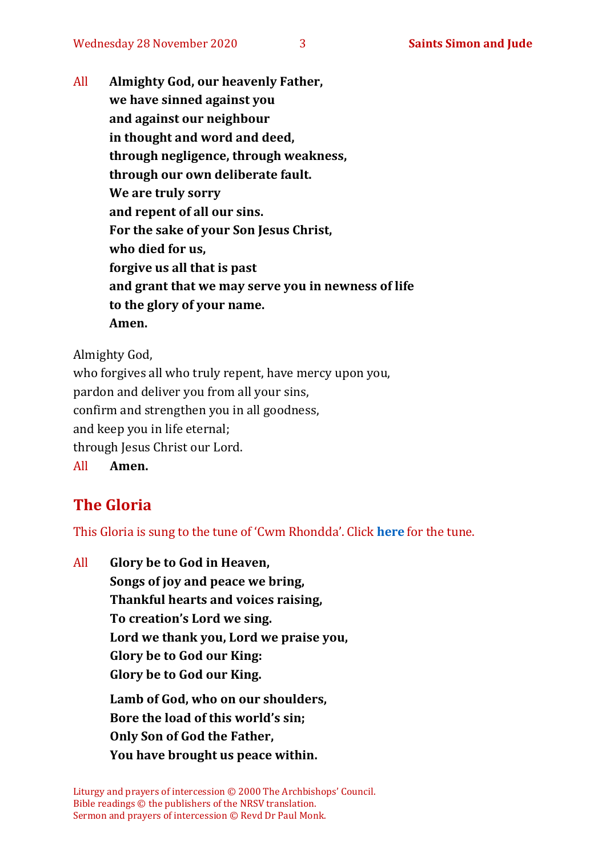All **Almighty God, our heavenly Father, we have sinned against you and against our neighbour in thought and word and deed, through negligence, through weakness, through our own deliberate fault. We are truly sorry and repent of all our sins. For the sake of your Son Jesus Christ, who died for us, forgive us all that is past and grant that we may serve you in newness of life to the glory of your name. Amen.**

Almighty God,

who forgives all who truly repent, have mercy upon you, pardon and deliver you from all your sins, confirm and strengthen you in all goodness, and keep you in life eternal; through Jesus Christ our Lord. All **Amen.**

# **The Gloria**

This Gloria is sung to the tune of 'Cwm Rhondda'. Click **[here](about:blank)** for the tune.

All **Glory be to God in Heaven, Songs of joy and peace we bring, Thankful hearts and voices raising, To creation's Lord we sing. Lord we thank you, Lord we praise you, Glory be to God our King: Glory be to God our King. Lamb of God, who on our shoulders, Bore the load of this world's sin; Only Son of God the Father, You have brought us peace within.**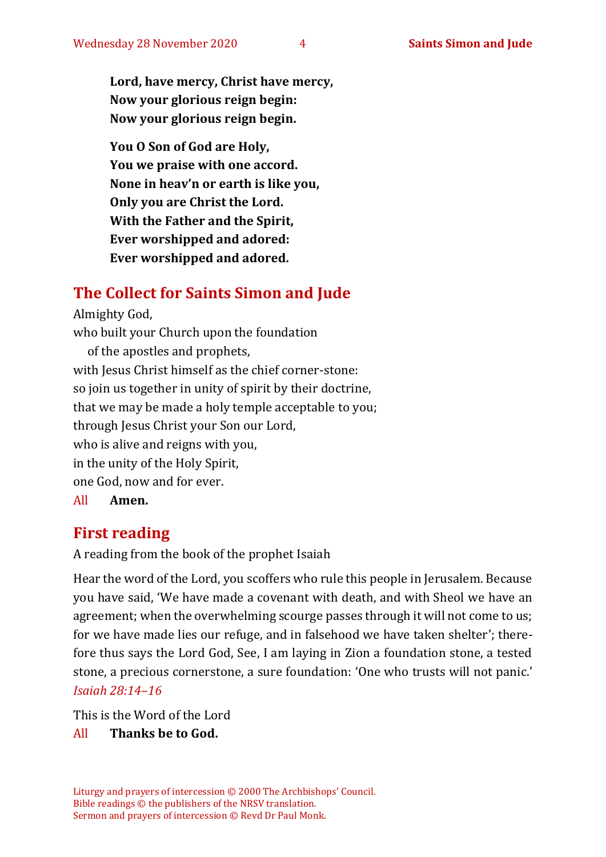**Lord, have mercy, Christ have mercy, Now your glorious reign begin: Now your glorious reign begin.**

**You O Son of God are Holy, You we praise with one accord. None in heav'n or earth is like you, Only you are Christ the Lord. With the Father and the Spirit, Ever worshipped and adored: Ever worshipped and adored.**

## **The Collect for Saints Simon and Jude**

Almighty God, who built your Church upon the foundation of the apostles and prophets, with Jesus Christ himself as the chief corner-stone: so join us together in unity of spirit by their doctrine, that we may be made a holy temple acceptable to you; through Jesus Christ your Son our Lord, who is alive and reigns with you, in the unity of the Holy Spirit, one God, now and for ever. All **Amen.**

## **First reading**

A reading from the book of the prophet Isaiah

Hear the word of the Lord, you scoffers who rule this people in Jerusalem. Because you have said, 'We have made a covenant with death, and with Sheol we have an agreement; when the overwhelming scourge passes through it will not come to us; for we have made lies our refuge, and in falsehood we have taken shelter'; therefore thus says the Lord God, See, I am laying in Zion a foundation stone, a tested stone, a precious cornerstone, a sure foundation: 'One who trusts will not panic.' *Isaiah 28:14–16*

This is the Word of the Lord

#### All **Thanks be to God.**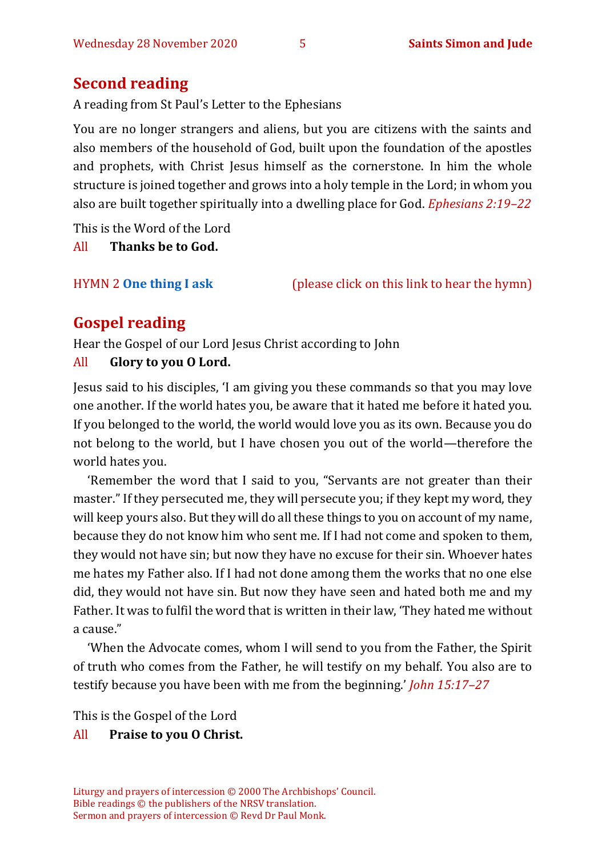### **Second reading**

A reading from St Paul's Letter to the Ephesians

You are no longer strangers and aliens, but you are citizens with the saints and also members of the household of God, built upon the foundation of the apostles and prophets, with Christ Jesus himself as the cornerstone. In him the whole structure is joined together and grows into a holy temple in the Lord; in whom you also are built together spiritually into a dwelling place for God. *Ephesians 2:19–22*

This is the Word of the Lord

All **Thanks be to God.**

HYMN 2 **[One thing I ask](https://www.youtube.com/watch?v=sk-KEsSZaP0)** (please click on this link to hear the hymn)

# **Gospel reading**

Hear the Gospel of our Lord Jesus Christ according to John

#### All **Glory to you O Lord.**

Jesus said to his disciples, 'I am giving you these commands so that you may love one another. If the world hates you, be aware that it hated me before it hated you. If you belonged to the world, the world would love you as its own. Because you do not belong to the world, but I have chosen you out of the world—therefore the world hates you.

'Remember the word that I said to you, "Servants are not greater than their master." If they persecuted me, they will persecute you; if they kept my word, they will keep yours also. But they will do all these things to you on account of my name, because they do not know him who sent me. If I had not come and spoken to them, they would not have sin; but now they have no excuse for their sin. Whoever hates me hates my Father also. If I had not done among them the works that no one else did, they would not have sin. But now they have seen and hated both me and my Father. It was to fulfil the word that is written in their law, 'They hated me without a cause."

'When the Advocate comes, whom I will send to you from the Father, the Spirit of truth who comes from the Father, he will testify on my behalf. You also are to testify because you have been with me from the beginning.' *John 15:17–27*

This is the Gospel of the Lord

#### All **Praise to you O Christ.**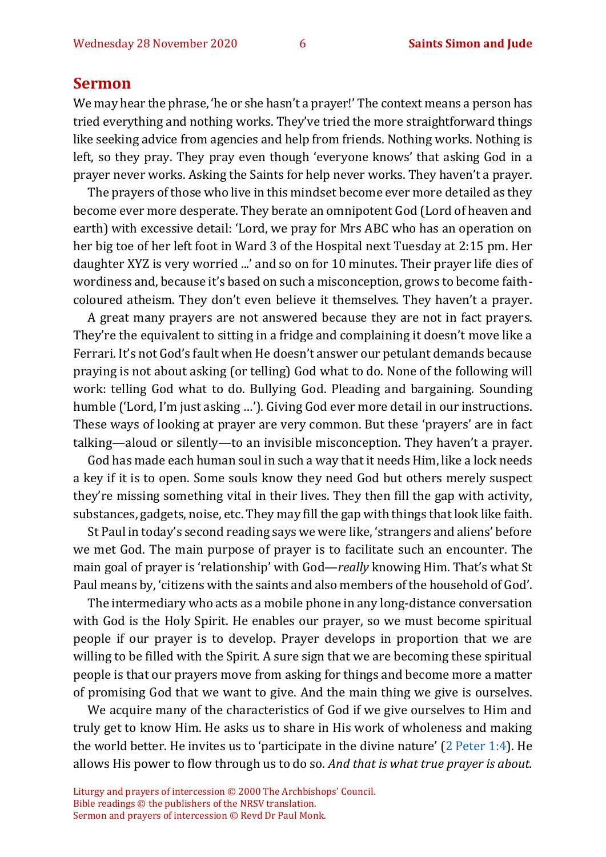#### **Sermon**

We may hear the phrase, 'he or she hasn't a prayer!' The context means a person has tried everything and nothing works. They've tried the more straightforward things like seeking advice from agencies and help from friends. Nothing works. Nothing is left, so they pray. They pray even though 'everyone knows' that asking God in a prayer never works. Asking the Saints for help never works. They haven't a prayer.

The prayers of those who live in this mindset become ever more detailed as they become ever more desperate. They berate an omnipotent God (Lord of heaven and earth) with excessive detail: 'Lord, we pray for Mrs ABC who has an operation on her big toe of her left foot in Ward 3 of the Hospital next Tuesday at 2:15 pm. Her daughter XYZ is very worried ...' and so on for 10 minutes. Their prayer life dies of wordiness and, because it's based on such a misconception, grows to become faithcoloured atheism. They don't even believe it themselves. They haven't a prayer.

A great many prayers are not answered because they are not in fact prayers. They're the equivalent to sitting in a fridge and complaining it doesn't move like a Ferrari. It's not God's fault when He doesn't answer our petulant demands because praying is not about asking (or telling) God what to do. None of the following will work: telling God what to do. Bullying God. Pleading and bargaining. Sounding humble ('Lord, I'm just asking …'). Giving God ever more detail in our instructions. These ways of looking at prayer are very common. But these 'prayers' are in fact talking—aloud or silently—to an invisible misconception. They haven't a prayer.

God has made each human soul in such a way that it needs Him, like a lock needs a key if it is to open. Some souls know they need God but others merely suspect they're missing something vital in their lives. They then fill the gap with activity, substances, gadgets, noise, etc. They may fill the gap with things that look like faith.

St Paul in today's second reading says we were like, 'strangers and aliens' before we met God. The main purpose of prayer is to facilitate such an encounter. The main goal of prayer is 'relationship' with God—*really* knowing Him. That's what St Paul means by, 'citizens with the saints and also members of the household of God'.

The intermediary who acts as a mobile phone in any long-distance conversation with God is the Holy Spirit. He enables our prayer, so we must become spiritual people if our prayer is to develop. Prayer develops in proportion that we are willing to be filled with the Spirit. A sure sign that we are becoming these spiritual people is that our prayers move from asking for things and become more a matter of promising God that we want to give. And the main thing we give is ourselves.

We acquire many of the characteristics of God if we give ourselves to Him and truly get to know Him. He asks us to share in His work of wholeness and making the world better. He invites us to 'participate in the divine nature' ([2 Peter 1:4\)](https://biblehub.com/2_peter/1-4.htm). He allows His power to flow through us to do so. *And that is what true prayer is about.*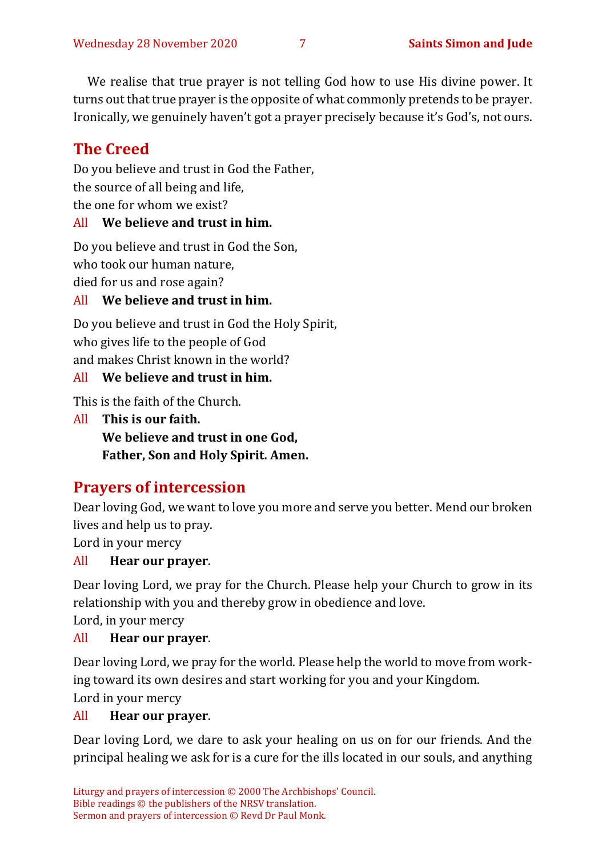We realise that true prayer is not telling God how to use His divine power. It turns out that true prayer is the opposite of what commonly pretends to be prayer. Ironically, we genuinely haven't got a prayer precisely because it's God's, not ours.

# **The Creed**

Do you believe and trust in God the Father, the source of all being and life, the one for whom we exist?

#### All **We believe and trust in him.**

Do you believe and trust in God the Son,

who took our human nature,

died for us and rose again?

#### All **We believe and trust in him.**

Do you believe and trust in God the Holy Spirit, who gives life to the people of God and makes Christ known in the world?

#### All **We believe and trust in him.**

This is the faith of the Church.

All **This is our faith. We believe and trust in one God, Father, Son and Holy Spirit. Amen.**

# **Prayers of intercession**

Dear loving God, we want to love you more and serve you better. Mend our broken lives and help us to pray.

Lord in your mercy

#### All **Hear our prayer**.

Dear loving Lord, we pray for the Church. Please help your Church to grow in its relationship with you and thereby grow in obedience and love.

Lord, in your mercy

#### All **Hear our prayer**.

Dear loving Lord, we pray for the world. Please help the world to move from working toward its own desires and start working for you and your Kingdom. Lord in your mercy

#### All **Hear our prayer**.

Dear loving Lord, we dare to ask your healing on us on for our friends. And the principal healing we ask for is a cure for the ills located in our souls, and anything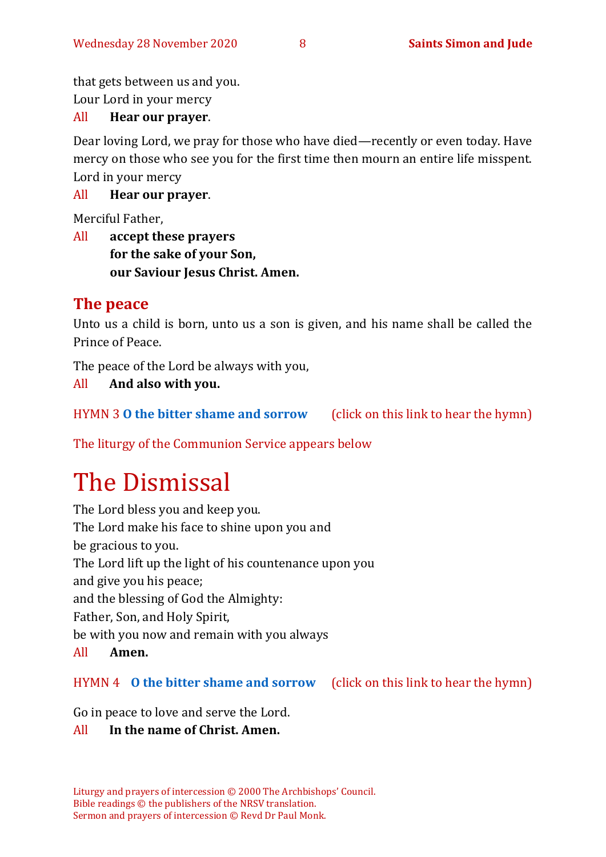that gets between us and you.

Lour Lord in your mercy

#### All **Hear our prayer**.

Dear loving Lord, we pray for those who have died—recently or even today. Have mercy on those who see you for the first time then mourn an entire life misspent. Lord in your mercy

#### All **Hear our prayer**.

Merciful Father,

All **accept these prayers for the sake of your Son, our Saviour Jesus Christ. Amen.**

#### **The peace**

Unto us a child is born, unto us a son is given, and his name shall be called the Prince of Peace.

The peace of the Lord be always with you,

All **And also with you.** 

HYMN 3 **[O the bitter shame and sorrow](https://www.youtube.com/watch?v=vJbzqbiZ7JA)** (click on this link to hear the hymn)

The liturgy of the Communion Service appears below

# The Dismissal

The Lord bless you and keep you. The Lord make his face to shine upon you and be gracious to you. The Lord lift up the light of his countenance upon you and give you his peace; and the blessing of God the Almighty: Father, Son, and Holy Spirit, be with you now and remain with you always All **Amen.**

#### HYMN 4 **[O the bitter shame and sorrow](https://www.youtube.com/watch?v=vJbzqbiZ7JA)** (click on this link to hear the hymn)

Go in peace to love and serve the Lord.

#### All **In the name of Christ. Amen.**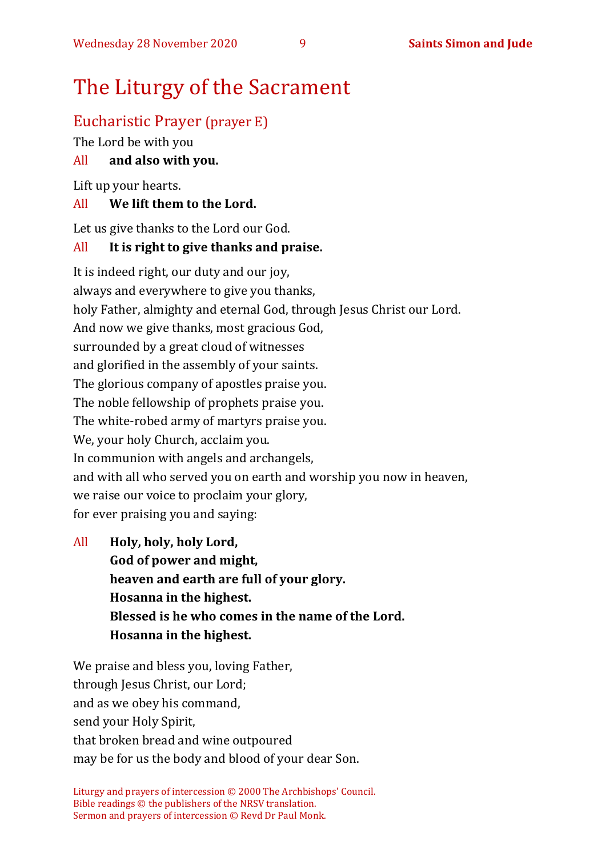# The Liturgy of the Sacrament

### Eucharistic Prayer (prayer E)

The Lord be with you

#### All **and also with you.**

Lift up your hearts.

#### All **We lift them to the Lord.**

Let us give thanks to the Lord our God.

#### All **It is right to give thanks and praise.**

It is indeed right, our duty and our joy, always and everywhere to give you thanks, holy Father, almighty and eternal God, through Jesus Christ our Lord. And now we give thanks, most gracious God, surrounded by a great cloud of witnesses and glorified in the assembly of your saints. The glorious company of apostles praise you. The noble fellowship of prophets praise you. The white-robed army of martyrs praise you. We, your holy Church, acclaim you. In communion with angels and archangels, and with all who served you on earth and worship you now in heaven, we raise our voice to proclaim your glory, for ever praising you and saying:

All **Holy, holy, holy Lord, God of power and might, heaven and earth are full of your glory. Hosanna in the highest. Blessed is he who comes in the name of the Lord. Hosanna in the highest.**

We praise and bless you, loving Father, through Jesus Christ, our Lord; and as we obey his command, send your Holy Spirit, that broken bread and wine outpoured may be for us the body and blood of your dear Son.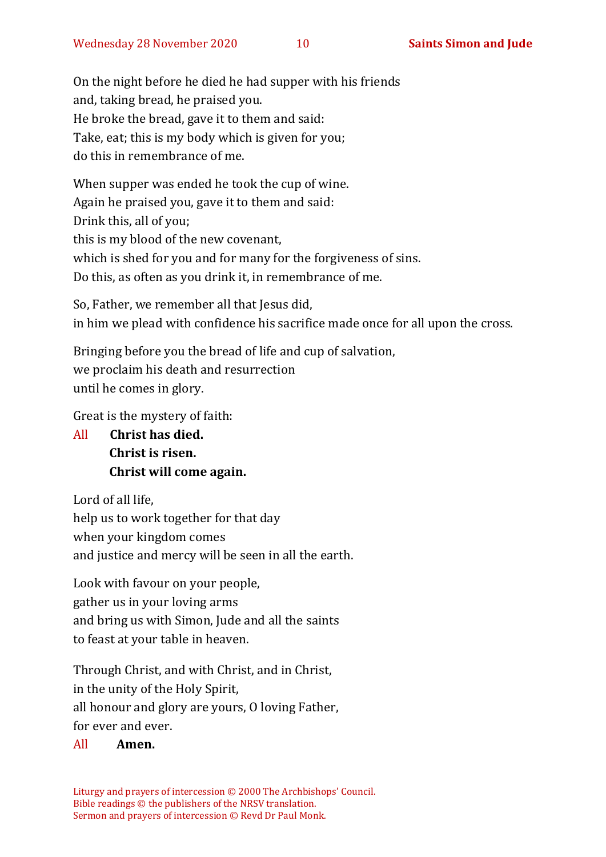On the night before he died he had supper with his friends and, taking bread, he praised you. He broke the bread, gave it to them and said: Take, eat; this is my body which is given for you; do this in remembrance of me.

When supper was ended he took the cup of wine. Again he praised you, gave it to them and said: Drink this, all of you; this is my blood of the new covenant, which is shed for you and for many for the forgiveness of sins. Do this, as often as you drink it, in remembrance of me.

So, Father, we remember all that Jesus did, in him we plead with confidence his sacrifice made once for all upon the cross.

Bringing before you the bread of life and cup of salvation, we proclaim his death and resurrection until he comes in glory.

Great is the mystery of faith:

All **Christ has died. Christ is risen. Christ will come again.**

Lord of all life, help us to work together for that day when your kingdom comes and justice and mercy will be seen in all the earth.

Look with favour on your people, gather us in your loving arms and bring us with Simon, Jude and all the saints to feast at your table in heaven.

Through Christ, and with Christ, and in Christ, in the unity of the Holy Spirit, all honour and glory are yours, O loving Father,

for ever and ever.

#### All **Amen.**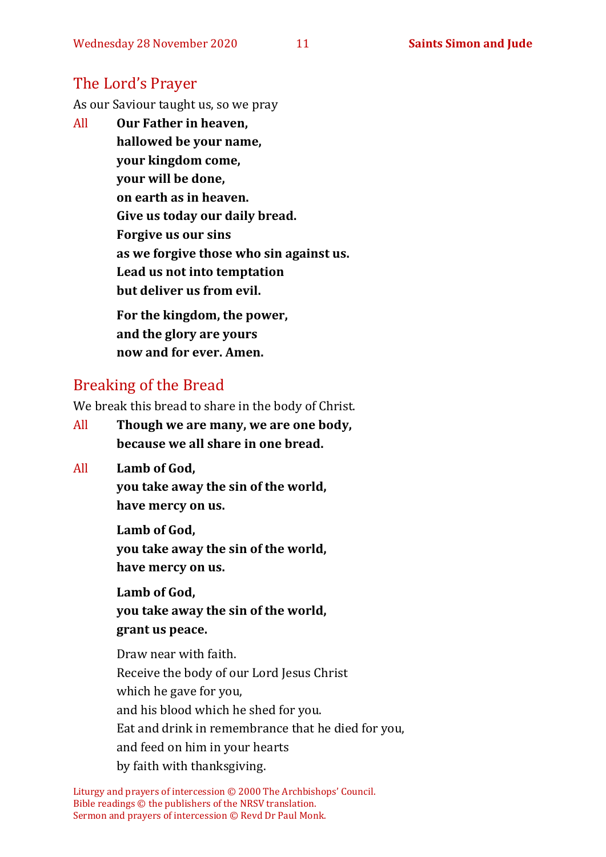### The Lord's Prayer

As our Saviour taught us, so we pray

All **Our Father in heaven, hallowed be your name, your kingdom come, your will be done, on earth as in heaven. Give us today our daily bread. Forgive us our sins as we forgive those who sin against us. Lead us not into temptation but deliver us from evil. For the kingdom, the power,** 

**and the glory are yours now and for ever. Amen.**

### Breaking of the Bread

We break this bread to share in the body of Christ.

- All **Though we are many, we are one body, because we all share in one bread.**
- All **Lamb of God,**

**you take away the sin of the world, have mercy on us.**

**Lamb of God, you take away the sin of the world, have mercy on us.**

**Lamb of God, you take away the sin of the world, grant us peace.**

Draw near with faith. Receive the body of our Lord Jesus Christ which he gave for you, and his blood which he shed for you. Eat and drink in remembrance that he died for you, and feed on him in your hearts by faith with thanksgiving.